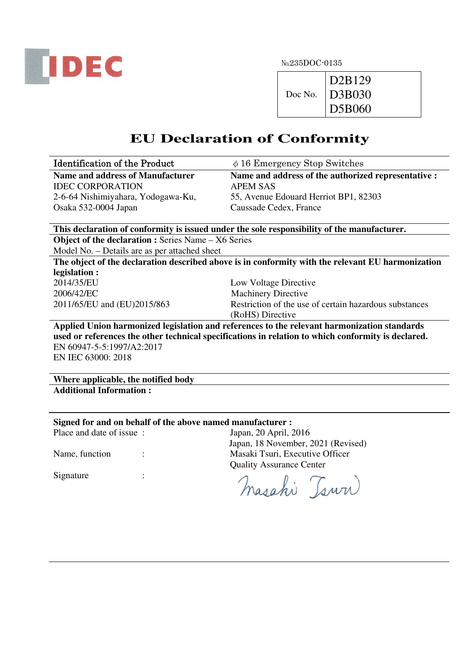

№235DOC-0135

|         | D2B129               |
|---------|----------------------|
| Doc No. | $\overline{D}$ 3B030 |
|         | D5B060               |

## **EU Declaration of Conformity**

| <b>Identification of the Product</b>                       | $\phi$ 16 Emergency Stop Switches                                                                  |
|------------------------------------------------------------|----------------------------------------------------------------------------------------------------|
| <b>Name and address of Manufacturer</b>                    | Name and address of the authorized representative :                                                |
| <b>IDEC CORPORATION</b>                                    | <b>APEM SAS</b>                                                                                    |
| 2-6-64 Nishimiyahara, Yodogawa-Ku,                         | 55, Avenue Edouard Herriot BP1, 82303                                                              |
| Osaka 532-0004 Japan                                       | Caussade Cedex, France                                                                             |
|                                                            |                                                                                                    |
|                                                            | This declaration of conformity is issued under the sole responsibility of the manufacturer.        |
| <b>Object of the declaration : Series Name - X6 Series</b> |                                                                                                    |
| Model No. - Details are as per attached sheet              |                                                                                                    |
|                                                            | The object of the declaration described above is in conformity with the relevant EU harmonization  |
| legislation :                                              |                                                                                                    |
| 2014/35/EU                                                 | Low Voltage Directive                                                                              |
| 2006/42/EC                                                 | <b>Machinery Directive</b>                                                                         |
| 2011/65/EU and (EU)2015/863                                | Restriction of the use of certain hazardous substances                                             |
|                                                            | (RoHS) Directive                                                                                   |
|                                                            | Applied Union harmonized legislation and references to the relevant harmonization standards        |
|                                                            | used or references the other technical specifications in relation to which conformity is declared. |
| EN 60947-5-5:1997/A2:2017                                  |                                                                                                    |
| EN IEC 63000: 2018                                         |                                                                                                    |
|                                                            |                                                                                                    |
| Where applicable, the notified body                        |                                                                                                    |
| <b>Additional Information:</b>                             |                                                                                                    |
|                                                            |                                                                                                    |
|                                                            |                                                                                                    |

## **Signed for and on behalf of the above named manufacturer :**<br>Place and date of issue : Japan. 20 April. 2 Japan, 20 April, 2016

Signature :

Japan, 18 November, 2021 (Revised) Name, function : Masaki Tsuri, Executive Officer Quality Assurance Center

masahi Tsuri